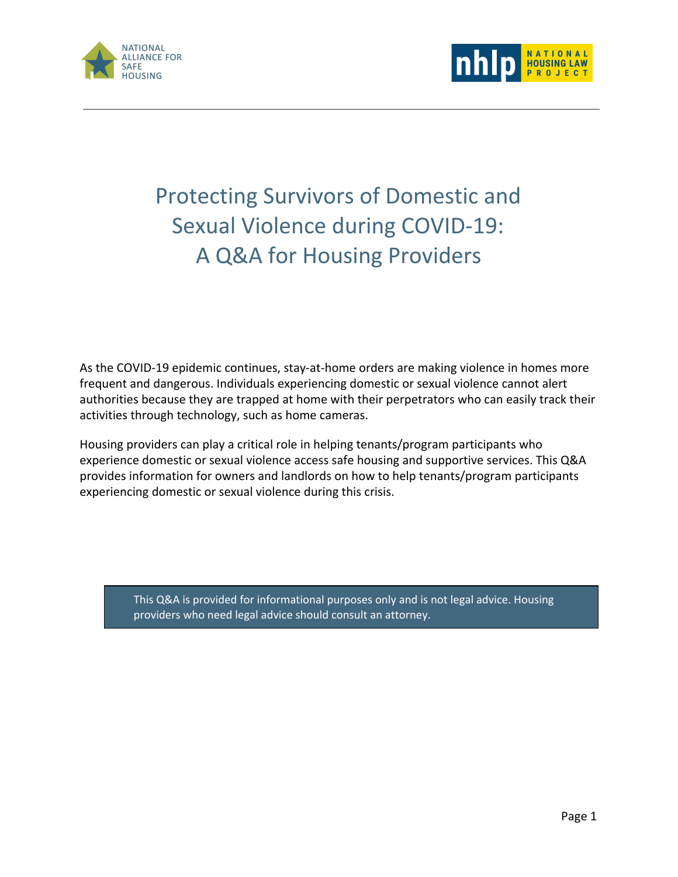



## Protecting Survivors of Domestic and Sexual Violence during COVID-19: A Q&A for Housing Providers

As the COVID-19 epidemic continues, stay-at-home orders are making violence in homes more frequent and dangerous. Individuals experiencing domestic or sexual violence cannot alert authorities because they are trapped at home with their perpetrators who can easily track their activities through technology, such as home cameras.

Housing providers can play a critical role in helping tenants/program participants who experience domestic or sexual violence access safe housing and supportive services. This Q&A provides information for owners and landlords on how to help tenants/program participants experiencing domestic or sexual violence during this crisis.

> This Q&A is provided for informational purposes only and is not legal advice. Housing providers who need legal advice should consult an attorney.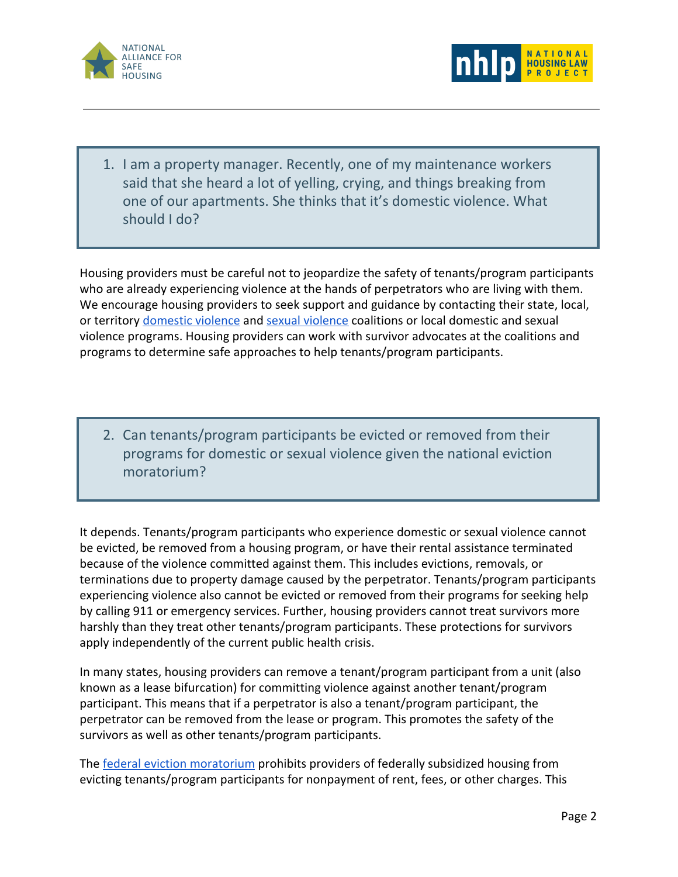



1. I am a property manager. Recently, one of my maintenance workers said that she heard a lot of yelling, crying, and things breaking from one of our apartments. She thinks that it's domestic violence. What should I do?

Housing providers must be careful not to jeopardize the safety of tenants/program participants who are already experiencing violence at the hands of perpetrators who are living with them. We encourage housing providers to seek support and guidance by contacting their state, local, or territory [domestic violence](https://nnedv.org/content/state-u-s-territory-coalitions/) and [sexual violence](https://www.nsvrc.org/organizations?field_organizations_target_id=8&field_states_territories_target_id=All) coalitions or local domestic and sexual violence programs. Housing providers can work with survivor advocates at the coalitions and programs to determine safe approaches to help tenants/program participants.

2. Can tenants/program participants be evicted or removed from their programs for domestic or sexual violence given the national eviction moratorium?

It depends. Tenants/program participants who experience domestic or sexual violence cannot be evicted, be removed from a housing program, or have their rental assistance terminated because of the violence committed against them. This includes evictions, removals, or terminations due to property damage caused by the perpetrator. Tenants/program participants experiencing violence also cannot be evicted or removed from their programs for seeking help by calling 911 or emergency services. Further, housing providers cannot treat survivors more harshly than they treat other tenants/program participants. These protections for survivors apply independently of the current public health crisis.

In many states, housing providers can remove a tenant/program participant from a unit (also known as a lease bifurcation) for committing violence against another tenant/program participant. This means that if a perpetrator is also a tenant/program participant, the perpetrator can be removed from the lease or program. This promotes the safety of the survivors as well as other tenants/program participants.

The **[federal eviction moratorium](https://www.consumerfinance.gov/coronavirus/mortgage-and-housing-assistance/renter-protections/)** prohibits providers of federally subsidized housing from evicting tenants/program participants for nonpayment of rent, fees, or other charges. This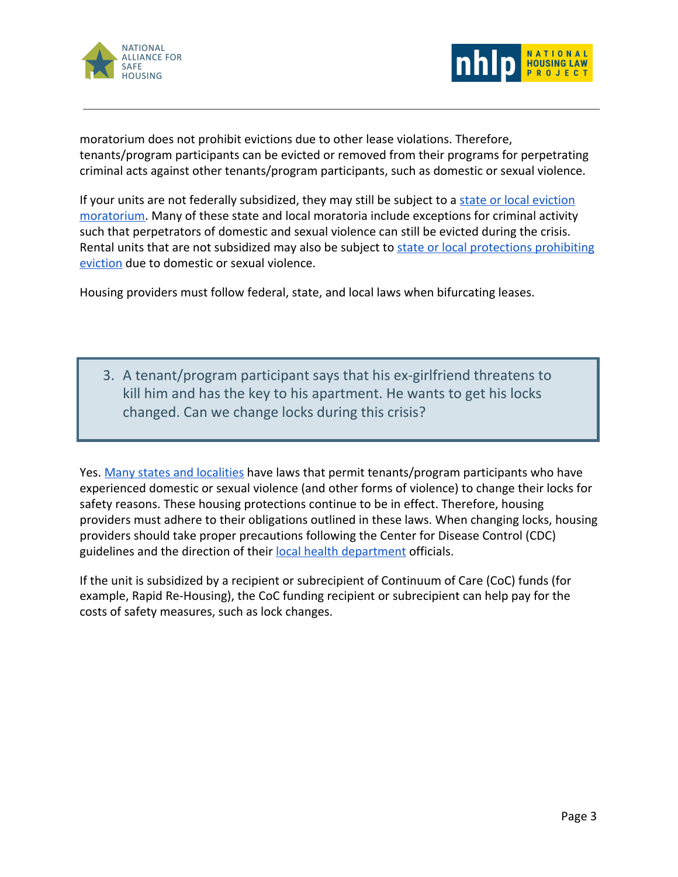



moratorium does not prohibit evictions due to other lease violations. Therefore, tenants/program participants can be evicted or removed from their programs for perpetrating criminal acts against other tenants/program participants, such as domestic or sexual violence.

If your units are not federally subsidized, they may still be subject to a [state or local eviction](https://evictionlab.org/covid-eviction-policies/) [moratorium](https://evictionlab.org/covid-eviction-policies/). Many of these state and local moratoria include exceptions for criminal activity such that perpetrators of domestic and sexual violence can still be evicted during the crisis. Rental units that are not subsidized may also be subject to [state or local protections prohibiting](https://www.nhlp.org/wp-content/uploads/2017-NHLP-DV-and-Hsing-State-Compendium-FINAL.pdf) [eviction](https://www.nhlp.org/wp-content/uploads/2017-NHLP-DV-and-Hsing-State-Compendium-FINAL.pdf) due to domestic or sexual violence.

Housing providers must follow federal, state, and local laws when bifurcating leases.

3. A tenant/program participant says that his ex-girlfriend threatens to kill him and has the key to his apartment. He wants to get his locks changed. Can we change locks during this crisis?

Yes. [Many states and localities](https://www.nhlp.org/wp-content/uploads/2017-NHLP-DV-and-Hsing-State-Compendium-FINAL.pdf) have laws that permit tenants/program participants who have experienced domestic or sexual violence (and other forms of violence) to change their locks for safety reasons. These housing protections continue to be in effect. Therefore, housing providers must adhere to their obligations outlined in these laws. When changing locks, housing providers should take proper precautions following the Center for Disease Control (CDC) guidelines and the direction of their [local health department](https://www.naccho.org/membership/lhd-directory) officials.

If the unit is subsidized by a recipient or subrecipient of Continuum of Care (CoC) funds (for example, Rapid Re-Housing), the CoC funding recipient or subrecipient can help pay for the costs of safety measures, such as lock changes.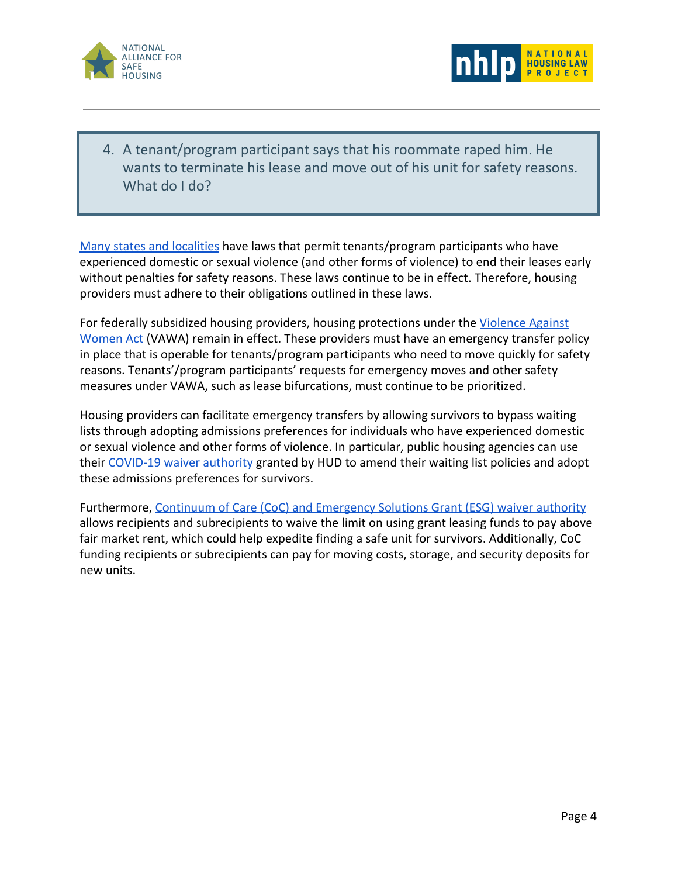



4. A tenant/program participant says that his roommate raped him. He wants to terminate his lease and move out of his unit for safety reasons. What do I do?

[Many states and localities](https://www.nhlp.org/wp-content/uploads/2017-NHLP-DV-and-Hsing-State-Compendium-FINAL.pdf) have laws that permit tenants/program participants who have experienced domestic or sexual violence (and other forms of violence) to end their leases early without penalties for safety reasons. These laws continue to be in effect. Therefore, housing providers must adhere to their obligations outlined in these laws.

For federally subsidized housing providers, housing protections under the [Violence Against](https://www.nhlp.org/wp-content/uploads/VAWA-Brochure.pdf) [Women Act](https://www.nhlp.org/wp-content/uploads/VAWA-Brochure.pdf) (VAWA) remain in effect. These providers must have an emergency transfer policy in place that is operable for tenants/program participants who need to move quickly for safety reasons. Tenants'/program participants' requests for emergency moves and other safety measures under VAWA, such as lease bifurcations, must continue to be prioritized.

Housing providers can facilitate emergency transfers by allowing survivors to bypass waiting lists through adopting admissions preferences for individuals who have experienced domestic or sexual violence and other forms of violence. In particular, public housing agencies can use their [COVID-19 waiver authority](https://www.hud.gov/sites/dfiles/PIH/documents/PIH2020-05.pdf) granted by HUD to amend their waiting list policies and adopt these admissions preferences for survivors.

Furthermore, [Continuum of Care \(CoC\) and Emergency Solutions Grant \(ESG\) waiver authority](https://www.hud.gov/program_offices/comm_planning/waivers_covid-19) allows recipients and subrecipients to waive the limit on using grant leasing funds to pay above fair market rent, which could help expedite finding a safe unit for survivors. Additionally, CoC funding recipients or subrecipients can pay for moving costs, storage, and security deposits for new units.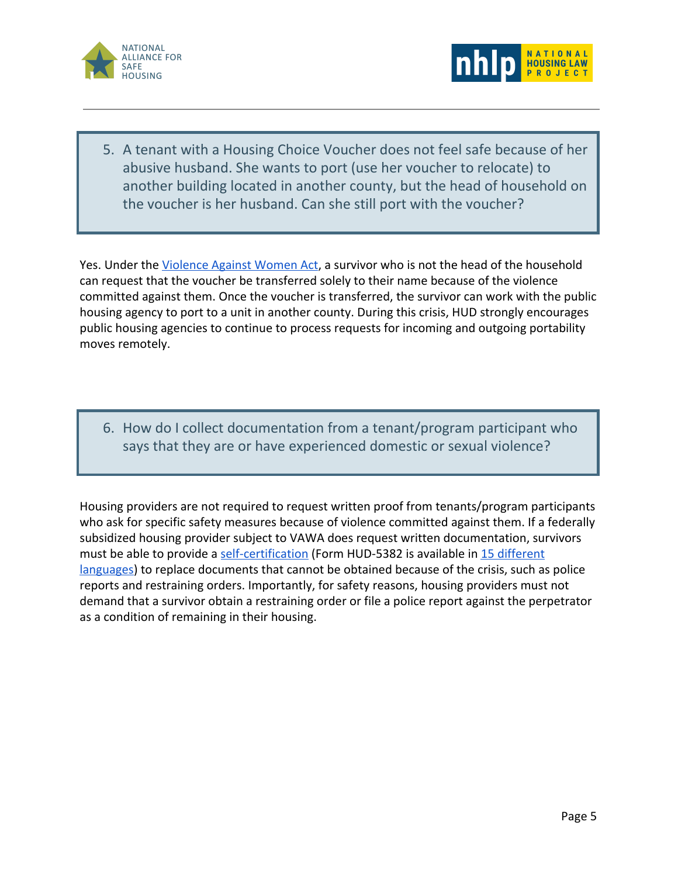



5. A tenant with a Housing Choice Voucher does not feel safe because of her abusive husband. She wants to port (use her voucher to relocate) to another building located in another county, but the head of household on the voucher is her husband. Can she still port with the voucher?

Yes. Under the [Violence Against Women Act](https://www.nhlp.org/wp-content/uploads/VAWA-Brochure.pdf), a survivor who is not the head of the household can request that the voucher be transferred solely to their name because of the violence committed against them. Once the voucher is transferred, the survivor can work with the public housing agency to port to a unit in another county. During this crisis, HUD strongly encourages public housing agencies to continue to process requests for incoming and outgoing portability moves remotely.

6. How do I collect documentation from a tenant/program participant who says that they are or have experienced domestic or sexual violence?

Housing providers are not required to request written proof from tenants/program participants who ask for specific safety measures because of violence committed against them. If a federally subsidized housing provider subject to VAWA does request written documentation, survivors must be able to provide a [self-certification](https://www.hud.gov/sites/documents/5382.docx) (Form HUD-5382 is available in [15 different](https://www.hud.gov/program_offices/administration/hudclips/forms/hud5a#4) [languages\)](https://www.hud.gov/program_offices/administration/hudclips/forms/hud5a#4) to replace documents that cannot be obtained because of the crisis, such as police reports and restraining orders. Importantly, for safety reasons, housing providers must not demand that a survivor obtain a restraining order or file a police report against the perpetrator as a condition of remaining in their housing.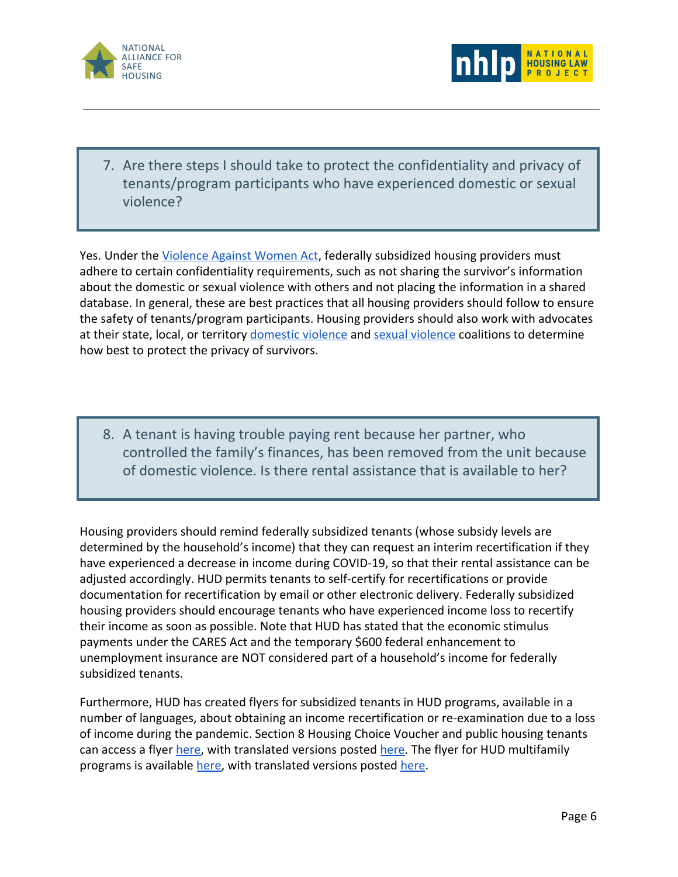



7. Are there steps I should take to protect the confidentiality and privacy of tenants/program participants who have experienced domestic or sexual violence?

Yes. Under the [Violence Against Women Act](https://www.nhlp.org/wp-content/uploads/VAWA-Brochure.pdf), federally subsidized housing providers must adhere to certain confidentiality requirements, such as not sharing the survivor's information about the domestic or sexual violence with others and not placing the information in a shared database. In general, these are best practices that all housing providers should follow to ensure the safety of tenants/program participants. Housing providers should also work with advocates at their state, local, or territory [domestic violence](https://nnedv.org/content/state-u-s-territory-coalitions/) and [sexual violence](https://www.nsvrc.org/organizations?field_organizations_target_id=8&field_states_territories_target_id=All) coalitions to determine how best to protect the privacy of survivors.

8. A tenant is having trouble paying rent because her partner, who controlled the family's finances, has been removed from the unit because of domestic violence. Is there rental assistance that is available to her?

Housing providers should remind federally subsidized tenants (whose subsidy levels are determined by the household's income) that they can request an interim recertification if they have experienced a decrease in income during COVID-19, so that their rental assistance can be adjusted accordingly. HUD permits tenants to self-certify for recertifications or provide documentation for recertification by email or other electronic delivery. Federally subsidized housing providers should encourage tenants who have experienced income loss to recertify their income as soon as possible. Note that HUD has stated that the economic stimulus payments under the CARES Act and the temporary \$600 federal enhancement to unemployment insurance are NOT considered part of a household's income for federally subsidized tenants.

Furthermore, HUD has created flyers for subsidized tenants in HUD programs, available in a number of languages, about obtaining an income recertification or re-examination due to a loss of income during the pandemic. Section 8 Housing Choice Voucher and public housing tenants can access a flyer [here,](https://www.hud.gov/sites/dfiles/PIH/documents/pih_tenant_flyer_eviction_moratorium.pdf) with translated versions posted [here.](https://www.hud.gov/program_offices/public_indian_housing/covid_19_resources/flyer_other_languages) The flyer for HUD multifamily programs is available [here,](https://www.hud.gov/sites/dfiles/Housing/documents/MF_Tenant_Concerns_COVID-19_Brochure.pdf) with translated versions posted [here](https://www.hud.gov/program_offices/fair_housing_equal_opp/17lep#covid).